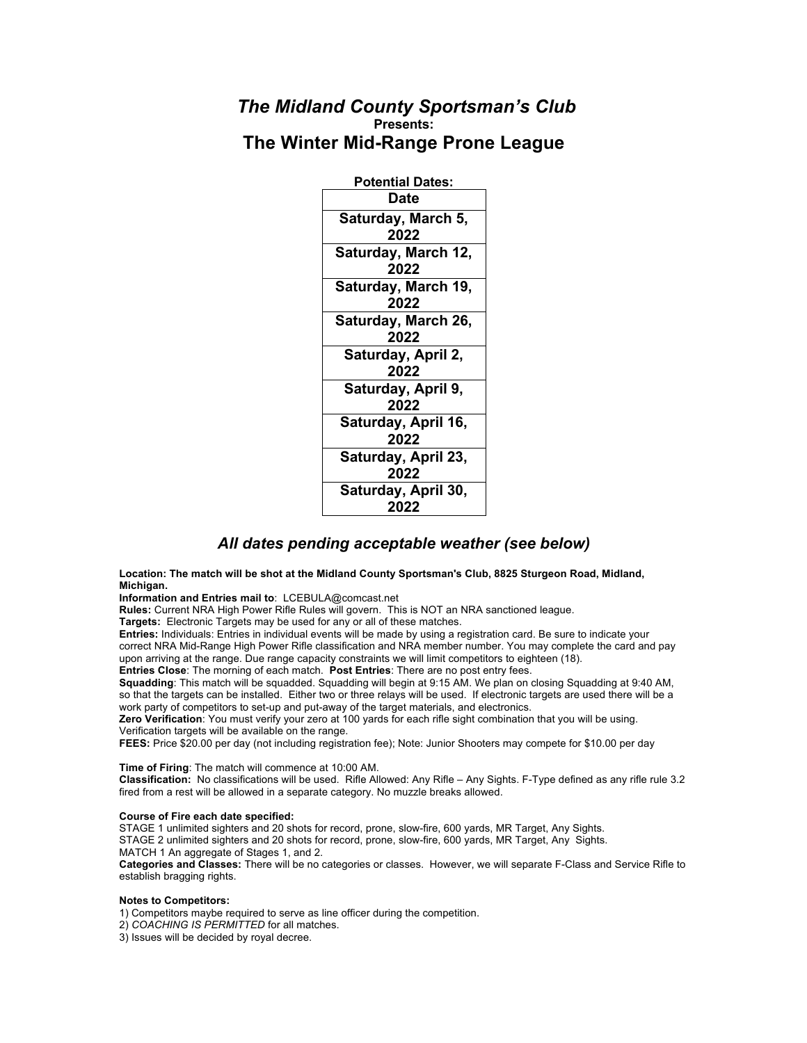## *The Midland County Sportsman's Club* **Presents: The Winter Mid-Range Prone League**

| <b>Potential Dates:</b>     |
|-----------------------------|
| Date                        |
| Saturday, March 5,<br>2022  |
| Saturday, March 12,<br>2022 |
| Saturday, March 19,<br>2022 |
| Saturday, March 26,<br>2022 |
| Saturday, April 2,<br>2022  |
| Saturday, April 9,<br>2022  |
| Saturday, April 16,<br>2022 |
| Saturday, April 23,<br>2022 |
| Saturday, April 30,<br>2022 |

## *All dates pending acceptable weather (see below)*

**Location: The match will be shot at the Midland County Sportsman's Club, 8825 Sturgeon Road, Midland, Michigan.**

**Information and Entries mail to**: LCEBULA@comcast.net

**Rules:** Current NRA High Power Rifle Rules will govern. This is NOT an NRA sanctioned league.

**Targets:** Electronic Targets may be used for any or all of these matches.

**Entries:** Individuals: Entries in individual events will be made by using a registration card. Be sure to indicate your correct NRA Mid-Range High Power Rifle classification and NRA member number. You may complete the card and pay upon arriving at the range. Due range capacity constraints we will limit competitors to eighteen (18).

**Entries Close**: The morning of each match. **Post Entries**: There are no post entry fees.

**Squadding**: This match will be squadded. Squadding will begin at 9:15 AM. We plan on closing Squadding at 9:40 AM, so that the targets can be installed. Either two or three relays will be used. If electronic targets are used there will be a work party of competitors to set-up and put-away of the target materials, and electronics.

**Zero Verification**: You must verify your zero at 100 yards for each rifle sight combination that you will be using. Verification targets will be available on the range.

**FEES:** Price \$20.00 per day (not including registration fee); Note: Junior Shooters may compete for \$10.00 per day

**Time of Firing**: The match will commence at 10:00 AM.

**Classification:** No classifications will be used. Rifle Allowed: Any Rifle – Any Sights. F-Type defined as any rifle rule 3.2 fired from a rest will be allowed in a separate category. No muzzle breaks allowed.

## **Course of Fire each date specified:**

STAGE 1 unlimited sighters and 20 shots for record, prone, slow-fire, 600 yards, MR Target, Any Sights. STAGE 2 unlimited sighters and 20 shots for record, prone, slow-fire, 600 yards, MR Target, Any Sights.

MATCH 1 An aggregate of Stages 1, and 2.

**Categories and Classes:** There will be no categories or classes. However, we will separate F-Class and Service Rifle to establish bragging rights.

## **Notes to Competitors:**

1) Competitors maybe required to serve as line officer during the competition.

2) *COACHING IS PERMITTED* for all matches.

3) Issues will be decided by royal decree.